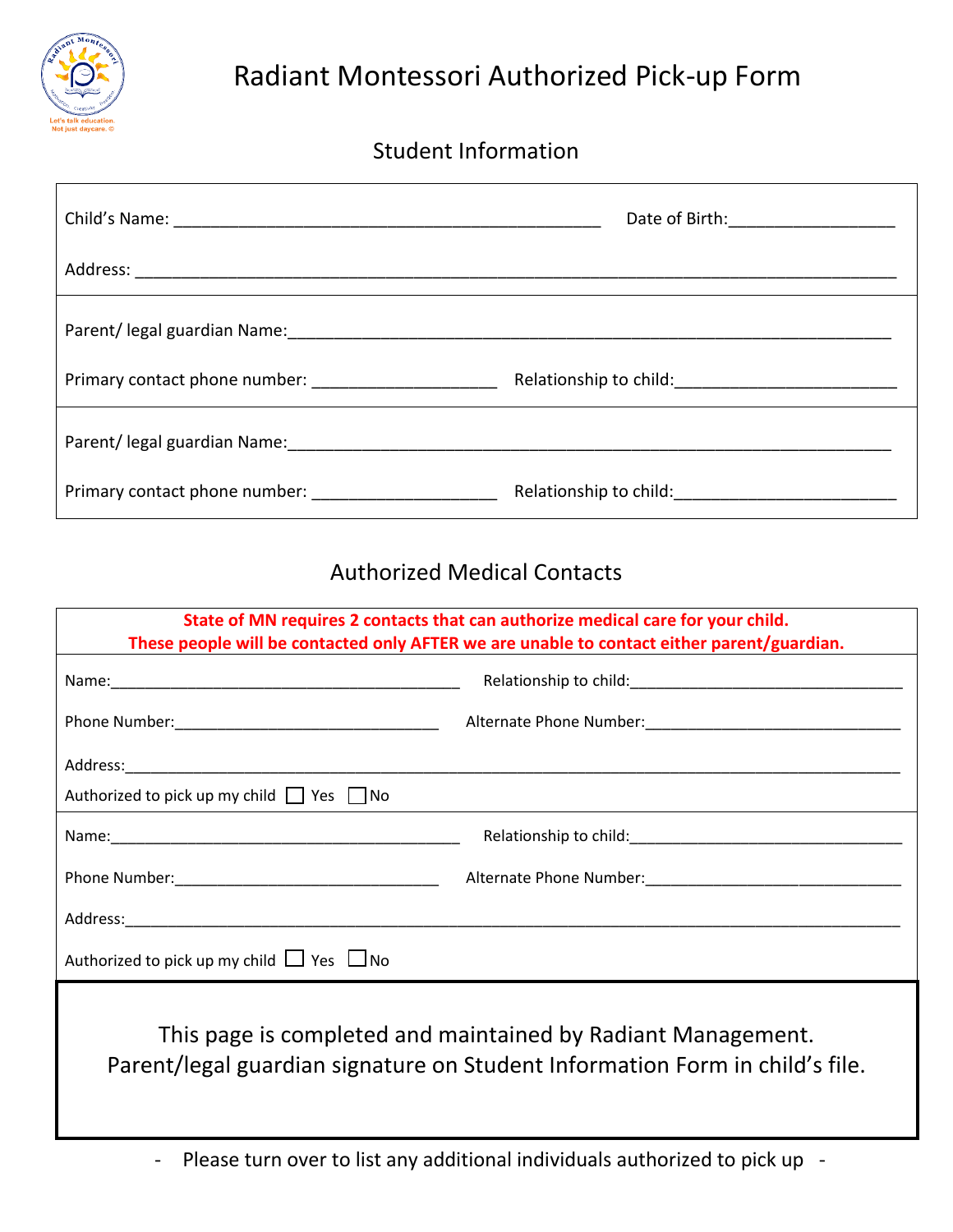

## Student Information

|                                                        | Date of Birth: 1990 March 2014 |
|--------------------------------------------------------|--------------------------------|
|                                                        |                                |
|                                                        |                                |
| Primary contact phone number: ________________________ |                                |
|                                                        |                                |
| Primary contact phone number: ______________________   |                                |

## Authorized Medical Contacts

| State of MN requires 2 contacts that can authorize medical care for your child.<br>These people will be contacted only AFTER we are unable to contact either parent/guardian. |  |  |
|-------------------------------------------------------------------------------------------------------------------------------------------------------------------------------|--|--|
|                                                                                                                                                                               |  |  |
|                                                                                                                                                                               |  |  |
|                                                                                                                                                                               |  |  |
| Authorized to pick up my child $\Box$ Yes $\Box$ No                                                                                                                           |  |  |
|                                                                                                                                                                               |  |  |
|                                                                                                                                                                               |  |  |
|                                                                                                                                                                               |  |  |
| Authorized to pick up my child $\Box$ Yes $\Box$ No                                                                                                                           |  |  |
| This page is completed and maintained by Radiant Management.<br>Parent/legal guardian signature on Student Information Form in child's file.                                  |  |  |

- Please turn over to list any additional individuals authorized to pick up -